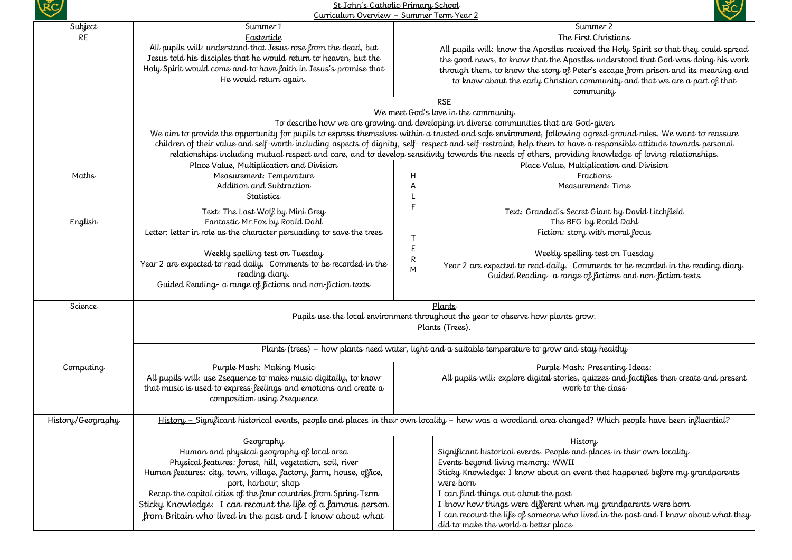

## St John's Catholic Primary School



| Curriculum Overview - Summer Term Year 2 |                                                                                                                                                              |             |                                                                                                                                                                 |  |
|------------------------------------------|--------------------------------------------------------------------------------------------------------------------------------------------------------------|-------------|-----------------------------------------------------------------------------------------------------------------------------------------------------------------|--|
| Subject                                  | Summer 1                                                                                                                                                     |             | Summer 2                                                                                                                                                        |  |
| <b>RE</b>                                | Eastertide                                                                                                                                                   |             | The First Christians                                                                                                                                            |  |
|                                          | All pupils will: understand that Jesus rose from the dead, but                                                                                               |             | All pupils will: know the Apostles received the Holy Spirit so that they could spread                                                                           |  |
|                                          | Jesus told his disciples that he would return to heaven, but the                                                                                             |             | the good news, to know that the Apostles understood that God was doing his work                                                                                 |  |
|                                          | Holy Spirit would come and to have faith in Jesus's promise that                                                                                             |             | through them, to know the story of Peter's escape from prison and its meaning and                                                                               |  |
|                                          | He would return again.                                                                                                                                       |             | to know about the early Christian community and that we are a part of that                                                                                      |  |
|                                          |                                                                                                                                                              |             | community                                                                                                                                                       |  |
|                                          | <b>RSE</b>                                                                                                                                                   |             |                                                                                                                                                                 |  |
|                                          | We meet God's love in the community                                                                                                                          |             |                                                                                                                                                                 |  |
|                                          | To describe how we are growing and developing in diverse communities that are God-given                                                                      |             |                                                                                                                                                                 |  |
|                                          | We aim to provide the opportunity for pupils to express themselves within a trusted and safe environment, following agreed ground rules. We want to reassure |             |                                                                                                                                                                 |  |
|                                          |                                                                                                                                                              |             | children of their value and self-worth including aspects of dignity, self-respect and self-restraint, help them to have a responsible attitude towards personal |  |
|                                          | relationships including mutual respect and care, and to develop sensitivity towards the needs of others, providing knowledge of loving relationships.        |             |                                                                                                                                                                 |  |
|                                          | Place Value, Multiplication and Division                                                                                                                     |             | Place Value, Multiplication and Division                                                                                                                        |  |
| Maths                                    | Measurement: Temperature                                                                                                                                     | н           | Fractions                                                                                                                                                       |  |
|                                          | Addition and Subtraction                                                                                                                                     | Α           | Measurement: Time                                                                                                                                               |  |
|                                          | <b>Statistics</b>                                                                                                                                            |             |                                                                                                                                                                 |  |
|                                          | Text: The Last Wolf by Mini Grey                                                                                                                             |             | Text: Grandad's Secret Giant by David Litchfield                                                                                                                |  |
| English                                  | Fantastic Mr. Fox by Roald Dahl                                                                                                                              |             | The BFG by Roald Dahl                                                                                                                                           |  |
|                                          | Letter: letter in role as the character persuading to save the trees                                                                                         |             | Fiction: story with moral focus                                                                                                                                 |  |
|                                          |                                                                                                                                                              | $\mathsf T$ |                                                                                                                                                                 |  |
|                                          | Weekly spelling test on Tuesday                                                                                                                              | E           | Weekly spelling test on Tuesday                                                                                                                                 |  |
|                                          | Year 2 are expected to read daily. Comments to be recorded in the                                                                                            | ${\sf R}$   | Year 2 are expected to read daily. Comments to be recorded in the reading diary.                                                                                |  |
|                                          | reading diary.                                                                                                                                               | M           | Guided Reading- a range of fictions and non-fiction texts                                                                                                       |  |
|                                          | Guided Reading- a range of fictions and non-fiction texts                                                                                                    |             |                                                                                                                                                                 |  |
|                                          |                                                                                                                                                              |             |                                                                                                                                                                 |  |
| Science                                  | Plants                                                                                                                                                       |             |                                                                                                                                                                 |  |
|                                          | Pupils use the local environment throughout the year to observe how plants grow.                                                                             |             |                                                                                                                                                                 |  |
|                                          | Plants (Trees).                                                                                                                                              |             |                                                                                                                                                                 |  |
|                                          |                                                                                                                                                              |             |                                                                                                                                                                 |  |
|                                          | Plants (trees) - how plants need water, light and a suitable temperature to grow and stay healthy                                                            |             |                                                                                                                                                                 |  |
| Computing                                | Purple Mash: Making Music                                                                                                                                    |             | Purple Mash: Presenting Ideas:                                                                                                                                  |  |
|                                          | All pupils will: use 2sequence to make music digitally, to know                                                                                              |             | All pupils will: explore digital stories, quizzes and factifies then create and present                                                                         |  |
|                                          | that music is used to express feelings and emotions and create a                                                                                             |             | work to the class                                                                                                                                               |  |
|                                          | composition using 2sequence                                                                                                                                  |             |                                                                                                                                                                 |  |
|                                          |                                                                                                                                                              |             |                                                                                                                                                                 |  |
| History/Geography                        | History - Significant historical events, people and places in their own locality - how was a woodland area changed? Which people have been influential?      |             |                                                                                                                                                                 |  |
|                                          | <u>Geography</u>                                                                                                                                             |             | History                                                                                                                                                         |  |
|                                          | Human and physical geography of local area                                                                                                                   |             | Significant historical events. People and places in their own locality                                                                                          |  |
|                                          | Physical features: forest, hill, vegetation, soil, river                                                                                                     |             | Events beyond living memory: WWII                                                                                                                               |  |
|                                          | Human features: city, town, village, factory, farm, house, office,                                                                                           |             | Sticky Knowledge: I know about an event that happened before my grandparents                                                                                    |  |
|                                          | port, harbour, shop                                                                                                                                          |             | were born                                                                                                                                                       |  |
|                                          | Recap the capital cities of the four countries from Spring Term                                                                                              |             | I can find things out about the past                                                                                                                            |  |
|                                          | Sticky Knowledge: I can recount the life of a famous person                                                                                                  |             | I know how things were different when my grandparents were born                                                                                                 |  |
|                                          | from Britain who lived in the past and I know about what                                                                                                     |             | I can recount the life of someone who lived in the past and I know about what they                                                                              |  |
|                                          |                                                                                                                                                              |             | did to make the world a better place                                                                                                                            |  |